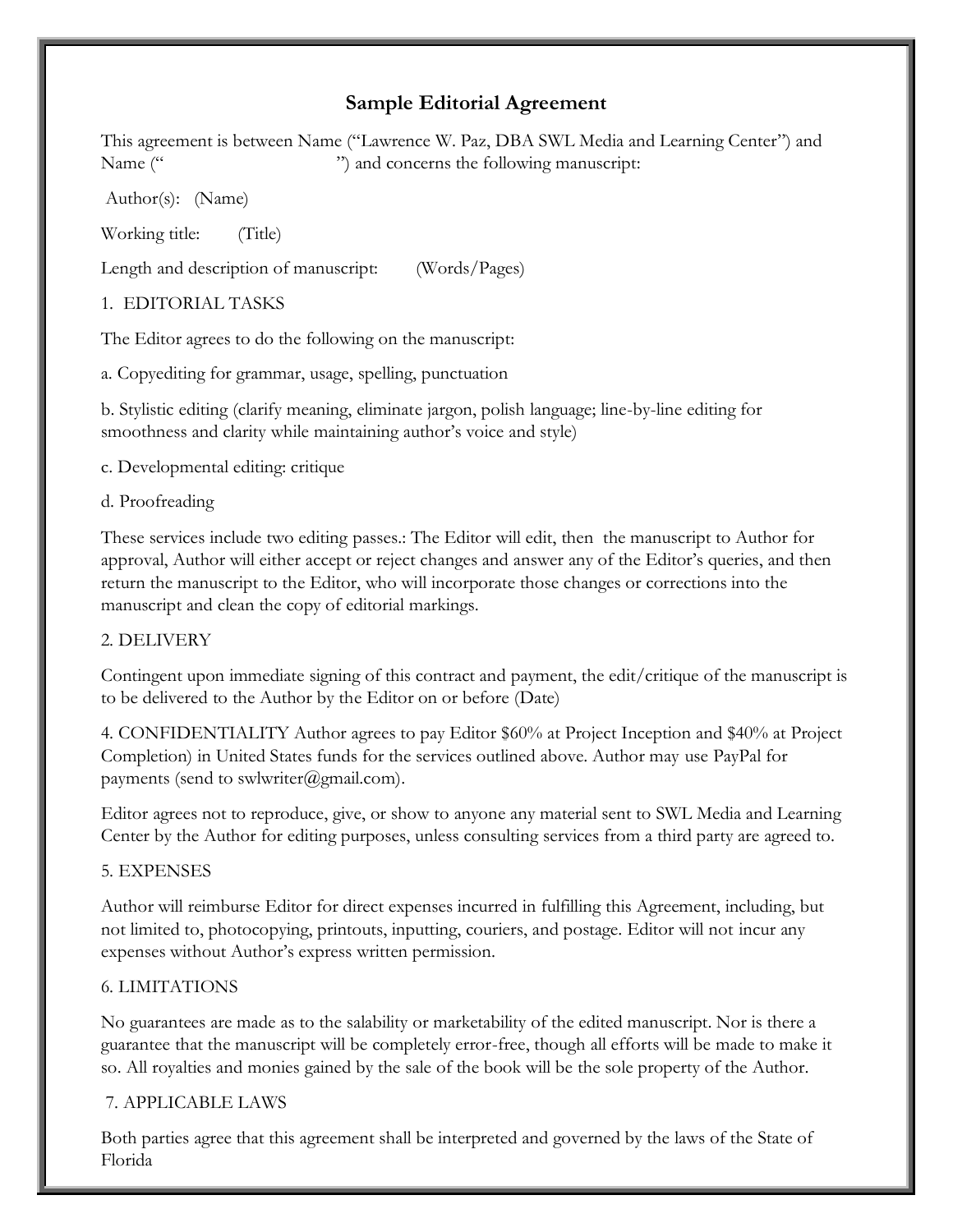# **Sample Editorial Agreement**

This agreement is between Name ("Lawrence W. Paz, DBA SWL Media and Learning Center") and Name ("  $\ldots$  ") and concerns the following manuscript:

Author(s): (Name)

Working title: (Title)

Length and description of manuscript: (Words/Pages)

1. EDITORIAL TASKS

The Editor agrees to do the following on the manuscript:

a. Copyediting for grammar, usage, spelling, punctuation

b. Stylistic editing (clarify meaning, eliminate jargon, polish language; line-by-line editing for smoothness and clarity while maintaining author's voice and style)

c. Developmental editing: critique

### d. Proofreading

These services include two editing passes.: The Editor will edit, then the manuscript to Author for approval, Author will either accept or reject changes and answer any of the Editor's queries, and then return the manuscript to the Editor, who will incorporate those changes or corrections into the manuscript and clean the copy of editorial markings.

### 2. DELIVERY

Contingent upon immediate signing of this contract and payment, the edit/critique of the manuscript is to be delivered to the Author by the Editor on or before (Date)

4. CONFIDENTIALITY Author agrees to pay Editor \$60% at Project Inception and \$40% at Project Completion) in United States funds for the services outlined above. Author may use PayPal for payments (send to swlwriter@gmail.com).

Editor agrees not to reproduce, give, or show to anyone any material sent to SWL Media and Learning Center by the Author for editing purposes, unless consulting services from a third party are agreed to.

### 5. EXPENSES

Author will reimburse Editor for direct expenses incurred in fulfilling this Agreement, including, but not limited to, photocopying, printouts, inputting, couriers, and postage. Editor will not incur any expenses without Author's express written permission.

## 6. LIMITATIONS

No guarantees are made as to the salability or marketability of the edited manuscript. Nor is there a guarantee that the manuscript will be completely error-free, though all efforts will be made to make it so. All royalties and monies gained by the sale of the book will be the sole property of the Author.

## 7. APPLICABLE LAWS

Both parties agree that this agreement shall be interpreted and governed by the laws of the State of Florida